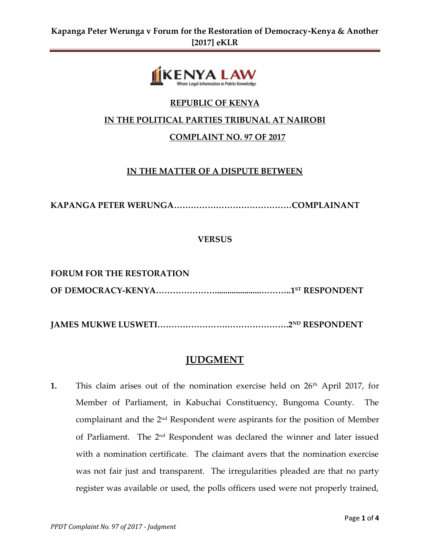

# **REPUBLIC OF KENYA**

# **IN THE POLITICAL PARTIES TRIBUNAL AT NAIROBI**

### **COMPLAINT NO. 97 OF 2017**

## **IN THE MATTER OF A DISPUTE BETWEEN**

**KAPANGA PETER WERUNGA……………………………………COMPLAINANT**

**VERSUS** 

**FORUM FOR THE RESTORATION OF DEMOCRACY-KENYA…………………......................………..1ST RESPONDENT**

**JAMES MUKWE LUSWETI…………………….………………….2ND RESPONDENT**

# **JUDGMENT**

**1.** This claim arises out of the nomination exercise held on 26<sup>th</sup> April 2017, for Member of Parliament, in Kabuchai Constituency, Bungoma County. The complainant and the  $2<sup>nd</sup>$  Respondent were aspirants for the position of Member of Parliament. The 2nd Respondent was declared the winner and later issued with a nomination certificate. The claimant avers that the nomination exercise was not fair just and transparent. The irregularities pleaded are that no party register was available or used, the polls officers used were not properly trained,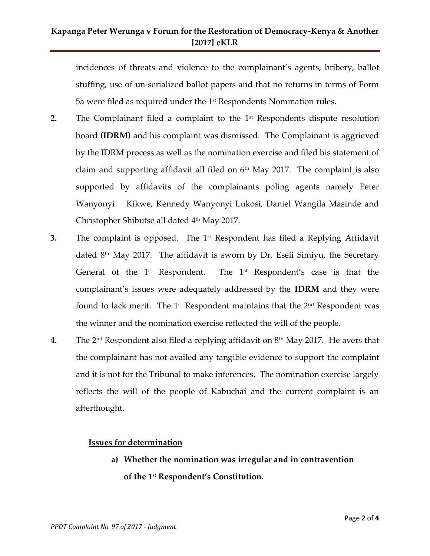# **Kapanga Peter Werunga v Forum for the Restoration of Democracy-Kenya & Another [2017] eKLR**

incidences of threats and violence to the complainant's agents, bribery, ballot stuffing, use of un-serialized ballot papers and that no returns in terms of Form 5a were filed as required under the  $1<sup>st</sup>$  Respondents Nomination rules.

- **2.** The Complainant filed a complaint to the 1<sup>st</sup> Respondents dispute resolution board **(IDRM)** and his complaint was dismissed. The Complainant is aggrieved by the IDRM process as well as the nomination exercise and filed his statement of claim and supporting affidavit all filed on  $6<sup>th</sup>$  May 2017. The complaint is also supported by affidavits of the complainants poling agents namely Peter Wanyonyi Kikwe, Kennedy Wanyonyi Lukosi, Daniel Wangila Masinde and Christopher Shibutse all dated 4 th May 2017.
- **3.** The complaint is opposed. The 1<sup>st</sup> Respondent has filed a Replying Affidavit dated  $8<sup>th</sup>$  May 2017. The affidavit is sworn by Dr. Eseli Simiyu, the Secretary General of the  $1<sup>st</sup>$  Respondent. The  $1<sup>st</sup>$  Respondent's case is that the complainant's issues were adequately addressed by the **IDRM** and they were found to lack merit. The  $1<sup>st</sup>$  Respondent maintains that the  $2<sup>nd</sup>$  Respondent was the winner and the nomination exercise reflected the will of the people.
- **4.** The 2nd Respondent also filed a replying affidavit on 8th May 2017. He avers that the complainant has not availed any tangible evidence to support the complaint and it is not for the Tribunal to make inferences. The nomination exercise largely reflects the will of the people of Kabuchai and the current complaint is an afterthought.

#### **Issues for determination**

**a) Whether the nomination was irregular and in contravention of the 1st Respondent's Constitution.**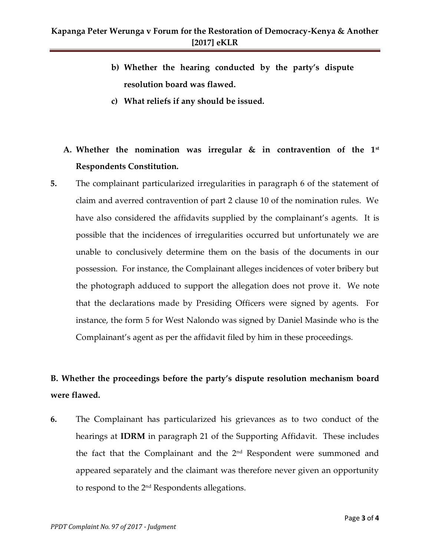- **b) Whether the hearing conducted by the party's dispute resolution board was flawed.**
- **c) What reliefs if any should be issued.**

# **A. Whether the nomination was irregular & in contravention of the 1st Respondents Constitution.**

**5.** The complainant particularized irregularities in paragraph 6 of the statement of claim and averred contravention of part 2 clause 10 of the nomination rules. We have also considered the affidavits supplied by the complainant's agents. It is possible that the incidences of irregularities occurred but unfortunately we are unable to conclusively determine them on the basis of the documents in our possession. For instance, the Complainant alleges incidences of voter bribery but the photograph adduced to support the allegation does not prove it. We note that the declarations made by Presiding Officers were signed by agents. For instance, the form 5 for West Nalondo was signed by Daniel Masinde who is the Complainant's agent as per the affidavit filed by him in these proceedings.

# **B. Whether the proceedings before the party's dispute resolution mechanism board were flawed.**

**6.** The Complainant has particularized his grievances as to two conduct of the hearings at **IDRM** in paragraph 21 of the Supporting Affidavit. These includes the fact that the Complainant and the 2<sup>nd</sup> Respondent were summoned and appeared separately and the claimant was therefore never given an opportunity to respond to the 2nd Respondents allegations.